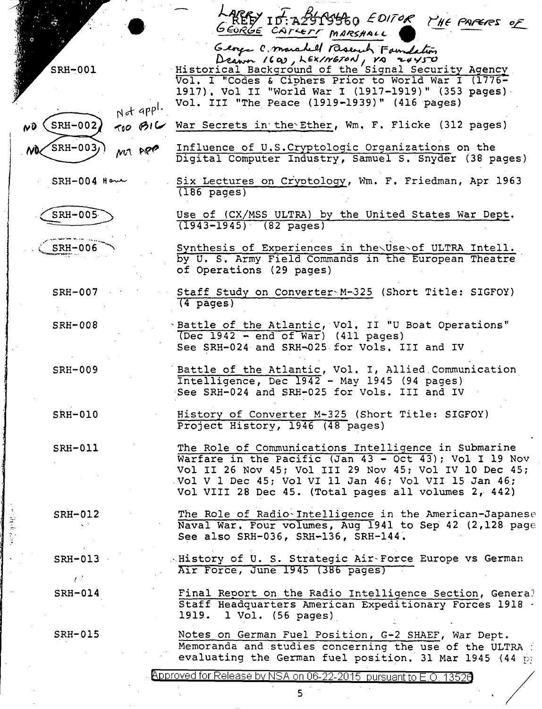| SRH-001<br>Not appl.<br>$700$ BIC<br>$SRH-002$<br>$\boldsymbol{\kappa}$<br>$SRH-003j$<br>MM APP | REEY ID: AZSTSSEQ EDITOR THE PAPERS OF<br>GEORGE CATCETT MARSHALL<br>George C. marshell Research Familetin<br>Vol. I "Codes & Ciphers Prior to World War I (1776-<br>1917), Vol II "World War I (1917-1919)" (353 pages)<br>Vol. III "The Peace (1919-1939)" (416 pages)<br>War Secrets in the Ether, Wm. F. Flicke (312 pages)<br>Influence of U.S. Cryptologic Organizations on the<br>Digital Computer Industry, Samuel S. Snyder (38 pages) |
|-------------------------------------------------------------------------------------------------|-------------------------------------------------------------------------------------------------------------------------------------------------------------------------------------------------------------------------------------------------------------------------------------------------------------------------------------------------------------------------------------------------------------------------------------------------|
| $SRH-004$ Have                                                                                  | Six Lectures on Cryptology, Wm. F. Friedman, Apr 1963<br>$(186 \text{ pages})$                                                                                                                                                                                                                                                                                                                                                                  |
| SRH-005                                                                                         | Use of (CX/MSS ULTRA) by the United States War Dept.<br>$(1943 - 1945)$ $(82 \text{ pages})$                                                                                                                                                                                                                                                                                                                                                    |
| <b>SRH-006</b>                                                                                  | Synthesis of Experiences in the Use of ULTRA Intell.<br>by U. S. Army Field Commands in the European Theatre<br>of Operations (29 pages)                                                                                                                                                                                                                                                                                                        |
| <b>SRH-007</b>                                                                                  | Staff Study on Converter M-325 (Short Title: SIGFOY)<br>$(4 \text{ pages})$                                                                                                                                                                                                                                                                                                                                                                     |
| <b>SRH-008</b>                                                                                  | Sattle of the Atlantic, Vol. II "U Boat Operations"<br>(Dec 1942 - end of War) (411 pages)<br>See SRH-024 and SRH-025 for Vols. III and IV                                                                                                                                                                                                                                                                                                      |
| <b>SRH-009</b>                                                                                  | Battle of the Atlantic, Vol. I, Allied Communication<br>Intelligence, Dec 1942 - May 1945 (94 pages)<br>See SRH-024 and SRH-025 for Vols. III and IV                                                                                                                                                                                                                                                                                            |
| $SRH - 010$                                                                                     | History of Converter M-325 (Short Title: SIGFOY)<br>Project History, 1946 (48 pages)                                                                                                                                                                                                                                                                                                                                                            |
| <b>SRH-011</b>                                                                                  | The Role of Communications Intelligence in Submarine<br>Warfare in the Pacific (Jan 43 - Oct 43); Vol I 19 Nov<br>Vol II 26 Nov 45; Vol III 29 Nov 45; Vol IV 10 Dec 45;<br>Vol V 1 Dec 45; Vol VI 11 Jan 46; Vol VII 15 Jan 46;<br>Vol VIII 28 Dec 45. (Total pages all volumes 2, 442)                                                                                                                                                        |
| SRH-012<br>ાસ મુખ્યત્વે<br>K. P.                                                                | The Role of Radio-Intelligence in the American-Japanese<br>Naval War. Four volumes, Aug 1941 to Sep 42 (2,128 page<br>See also SRH-036, SRH-136, SRH-144.                                                                                                                                                                                                                                                                                       |
| $SRH-013$<br>$\mathcal{L}^{(1)}$                                                                | Alistory of U. S. Strategic Air-Force Europe vs German<br>Air Force, June 1945 (386 pages)                                                                                                                                                                                                                                                                                                                                                      |
| SRH-014                                                                                         | Final Report on the Radio Intelligence Section, General<br>Staff Headquarters American Expeditionary Forces 1918 .<br>$1$ Vol. (56 pages)<br>1919.                                                                                                                                                                                                                                                                                              |
| <b>SRH-015</b>                                                                                  | Notes on German Fuel Position, G-2 SHAEF, War Dept.<br>Memoranda and studies concerning the use of the ULTRA :<br>evaluating the German fuel position. 31 Mar 1945 (44 pm                                                                                                                                                                                                                                                                       |

 $\ddot{\phantom{a}}$ 

 $\frac{1}{2}$ 

مغطفتهم

Approved for Release by NSA on 06-22-2015 pursuant to E.O. 13526

 $\epsilon$ 

 $\epsilon$ 

 $\hat{\mathcal{A}}$ 

 $\ddot{\phantom{a}}$ 

 $\overline{5}$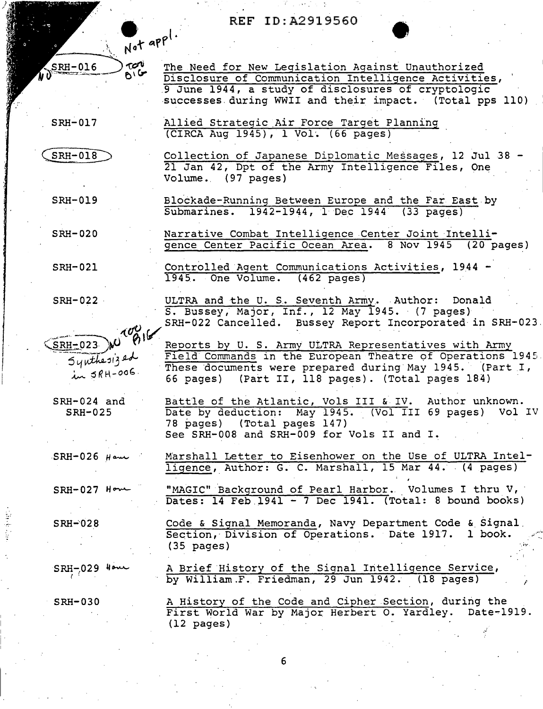Allied Strategic Air Force Target Planning<br>(CIRCA Aug 1945), 1 Vol. (66 pages)

Not appl.

ron

 $B/C$ 

SRH-017

WO SRH-016

 $SRH-018$ 

Collection of Japanese Diplomatic Messages, 12 Jul 38 -21 Jan 42, Dpt of the Army Intelligence Files, One Volume. (97 pages)

Blockade-Running Between Europe and the Far East by

Narrative Combat Intelligence Center Joint Intelli-

Controlled Agent Communications Activities, 1944 -

ULTRA and the U. S. Seventh Army. Author: Donald

66 pages) (Part II, 118 pages). (Total pages 184)

(Total pages 147) See SRH-008 and SRH-009 for Vols II and I.

Reports by U. S. Army ULTRA Representatives with Army

SRH-022 Cancelled. Bussey Report Incorporated in SRH-023.

Field Commands in the European Theatre of Operations 1945. These documents were prepared during May 1945. (Part I,

Battle of the Atlantic, Vols III & IV. Author unknown.<br>Date by deduction: May 1945. (Vol III 69 pages) Vol IV

Marshall Letter to Eisenhower on the Use of ULTRA Intelligence, Author: G. C. Marshall, 15 Mar 44. (4 pages)

"MAGIC" Background of Pearl Harbor. Volumes I thru V, Dates: 14 Feb 1941 - 7 Dec 1941. (Total: 8 bound books)

S. Bussey, Major, Inf., 12 May 1945. (7 pages)

 $(20 \text{ pages})$ 

Submarines. 1942-1944, 1 Dec 1944 (33 pages)

gence Center Pacific Ocean Area. 8 Nov 1945

1945. One Volume. (462 pages)

78 pages)

successes during WWII and their impact. (Total pps 110)

The Need for New Legislation Against Unauthorized

Disclosure of Communication Intelligence Activities, 9 June 1944, a study of disclosures of cryptologic

**SRH-019** 

**SRH-020** 

**SRH-021** 

 $SRH-022$ 

roo  $SRH = 023$  $54$ uthesized  $\overline{\lambda}$   $\overline{\lambda}$   $\overline{\lambda}$   $\overline{\lambda}$   $\overline{\lambda}$   $\overline{\lambda}$   $\overline{\lambda}$   $\overline{\lambda}$   $\overline{\lambda}$   $\overline{\lambda}$   $\overline{\lambda}$   $\overline{\lambda}$   $\overline{\lambda}$   $\overline{\lambda}$   $\overline{\lambda}$   $\overline{\lambda}$   $\overline{\lambda}$   $\overline{\lambda}$   $\overline{\lambda}$   $\overline{\lambda}$   $\overline{\lambda}$   $\overline{\lambda}$   $\overline{\lambda}$   $\overline{\lambda}$   $\overline{\$ 

SRH-024 and  $SRH-025$ 

 $SRH-026$  Hem

 $SRH-027$  How

 $SRH - 028$ 

Code & Signal Memoranda, Navy Department Code & Signal Section, Division of Operations. Date 1917. 1 book.  $(35 \text{ pages})$ 

 $SRH - 029$   $40$ 

A Brief History of the Signal Intelligence Service, by William.F. Friedman, 29 Jun 1942. (18 pages)

 $SRH-030$ 

A History of the Code and Cipher Section, during the First World War by Major Herbert O. Yardley. Date-1919.  $(12 \text{ pages})$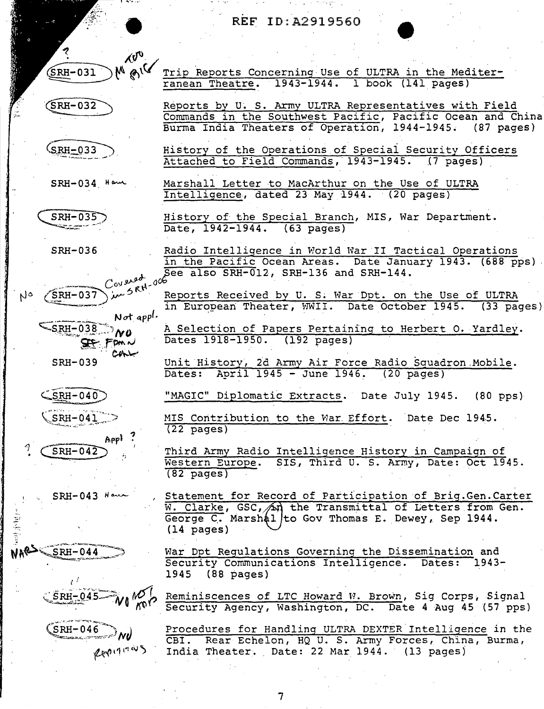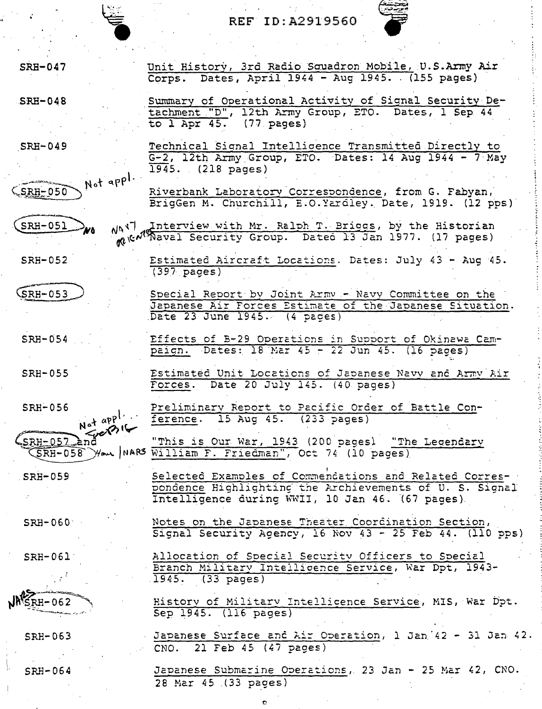SRB-047

ستان<br>ماركان<br>المراكان المراكان المراكض المراكض المراكض المراكض المراكض المراكض المراكض المراكض المراكض المراكض<br>المراكض المراكض المراكض المراكض المراكض المراكض المراكض المراكض المراكض المراكض المراكض المراكض المراكض المرا

Not appl.

Unit History, 3rd Radio Squadron Mobile, U.S.Army Air Corps. Dates, April 1944 - Aug 1945. (155 pages)

.SRH-048

Summary of Operational Activity of Signal Security Detachment "D", 12th Army Group, ETO. Dates, 1 Sep 44 to  $l$  Apr  $45.$  (77 pages)

SRB-049

SRH-051

 $SRH-050$ 

SRH-052

SRH-055

Technical Signal Intelligence Transmitted Directly to G-2, 12th Army Group, ETO. Dates: 14 Aug 1944 - 7·May 1945. (218 pages)

Riverbank Laboratorv.Corresnondence, from G. Fabyan, BrigGen M. Churchill, E.O.Yardley. Date, 1919. (12 pps) i

''<br>''

·:

MAN Interview with Mr. Ralph T. Briggs, by the Historian ·<br>• Me Raval Security Group. Date6 13 Jan 1977. (17 pages)

Estimated Aircraft Locations. Dates: July 43 - Aug 45. (397 pages)

Special Report by Joint Army - Navy Committee on the  $(SRH-053)$ Japanese Air Forces Estimate of the Japanese Situation.<br>Date 23 June 1945. (4 pages)

SRH-054 Effects of B-29 Operations in Support of Okinawa Campaign. Dates: 18 Mar 45 - 22 Jun 45. (16 pages)

> Estimated Unit Locations of Japanese Navy and Army Air Forces. Date 20 July 145. (40. pages)

 $SRH - 056$ Preliminary Report to Pacific Order of Battle Con-

 $N_{\text{eff}}$   $N_{\text{eff}}$   $N_{\text{eff}}$   $N_{\text{eff}}$   $N_{\text{eff}}$   $N_{\text{eff}}$   $N_{\text{eff}}$   $N_{\text{eff}}$   $N_{\text{eff}}$   $N_{\text{eff}}$   $N_{\text{eff}}$   $N_{\text{eff}}$   $N_{\text{eff}}$   $N_{\text{eff}}$   $N_{\text{eff}}$   $N_{\text{eff}}$   $N_{\text{eff}}$   $N_{\text{eff}}$   $N_{\text{eff}}$   $N_{\text{eff}}$   $N_{\text{eff}}$   $N_{\text{eff}}$  (SRH-057 and "This is Our War, 1943 (200 pages) "The Leoendary (SRH-058 ) //www. | NARS William F. Friedman", Oct 74 (10 pages)

Intelligence during WWII, 10 Jan 46. (67 pages)

Notes on the Japanese Theater Coordination Section,

Allocation of Soecial Securitv Officers to Soecial Branch Military Intellicence Service, War Dpt, 1943-

Selected Examples of Commencations and Related Correspondence Highlighting the Archievements of U. S. Signal

SRB-059

 $\mathbf{a} \cdot \mathbf{a}$  approximate

 $SRH-060^\circ$ 

Signal Security Agency, 16 Nov 43 - 25 Feb 44. (110 pps)

1945. (33 pages)

SRH-061·

 $RH - 062$ 

SRB-063

SRH-064

l. 1· Sep 1945. (116 pages) Japanese Surface and Air Operation, 1 Jan 42 - 31 Jan 42.  $CNO.$  21 Feb 45 (47 pages)

Historv of Militarv !ntellicence Service, MIS, War Dpt.

Japanese Submarine Operations, 23 Jan - 25 Mar 42, CNO.  $28$  Mar  $45$   $(33$  pages)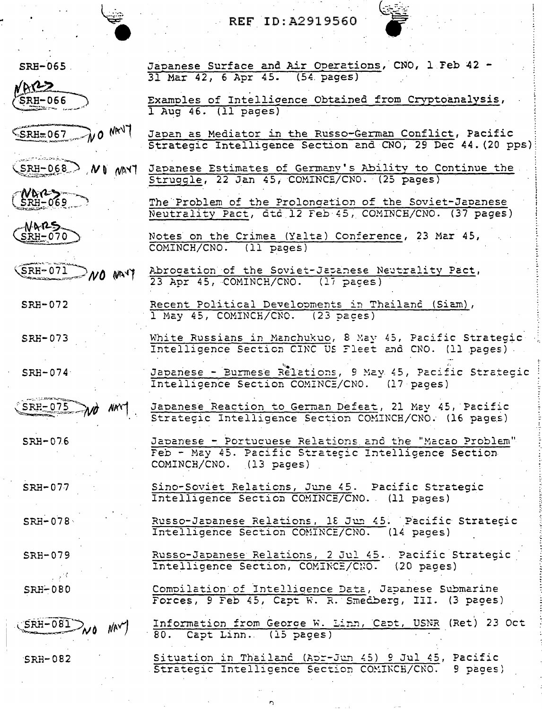| خشت |  |
|-----|--|
|     |  |
|     |  |
|     |  |
|     |  |
|     |  |
|     |  |
|     |  |

| $SRH-065$                                            | Japanese Surface and Air Operations, CNO, 1 Feb 42 -<br>31 Mar 42, 6 Apr 45. (54. pages)                                                   |
|------------------------------------------------------|--------------------------------------------------------------------------------------------------------------------------------------------|
| MRT2                                                 |                                                                                                                                            |
| SRH-066                                              | Examples of Intelligence Obtained from Cryptoanalysis,<br>$1$ Aug $46.$ (11 pages)                                                         |
| SRH=067 NO NAVY                                      | Japan as Mediator in the Russo-German Conflict, Pacific<br>Strategic Intelligence Section and CNO, 29 Dec 44. (20 pps)                     |
| $(SRH-068)$ NO MAYT                                  | Japanese Estimates of Germany's Ability to Continue the<br>Struggle, 22 Jan 45, COMINCE/CNO. (25 pages)                                    |
| $(NR^2)$                                             | The Problem of the Prolongation of the Soviet-Japanese<br>Neutrality Pact, dtd 12 Feb 45, COMINCH/CNO. (37 pages)                          |
| $-NAR5$<br>$SRH-070$                                 | Notes on the Crimea (Yalta) Conference, 23 Mar 45,<br>COMINCH/CNO. (11 pages)                                                              |
| SRH-071<br>MAYY                                      | Abrogation of the Soviet-Japanese Neutrality Pact,<br>23 Apr 45, COMINCH/CNO. (17 pages)                                                   |
| $SRH-072$                                            | Recent Political Developments in Thailand (Siam),<br>1 May 45, COMINCH/CNO. (23 Daces)                                                     |
| SRH-073                                              | White Russians in Manchukuo, 8 May 45, Pacific Strategic<br>Intelligence Section CINC US Fleet and CNO. (11 pages).                        |
| $SRH-074$                                            | Japanese - Burmese Relations, 9 May 45, Pacific Strategic<br>Intelligence Section COMINCE/CNO. (17 pages)                                  |
| $SRI-075$<br>NN                                      | Japanese Reaction to German Defeat, 21 May 45, Pacific<br>Strategic Intelligence Section COMINCH/CNO. (16 pages)                           |
| $SRH-076$                                            | Japanese - Portuguese Relations and the "Macao Problem"<br>Feb - May 45. Pacific Strategic Intelligence Section<br>COMINCH/CNO. (13 pages) |
| $SRH-0.77$                                           | Sino-Soviet Relations, June 45. Pacific Strategic<br>Intelligence Section COMINCE/CNO. (11 pages)                                          |
| $SRH-0.78$                                           | Russo-Japanese Relations, 18 Jun 45. Pacific Strategic<br>Intelligence Section COMINCE/CNO. (14 pages)                                     |
| $SRH-079$                                            | Russo-Japanese Relations, 2 Jul 45. Pacific Strategic<br>Intelligence Section, COMINCE/CNO. (20 pages)                                     |
| $SRH - 080$                                          | Compilation of Intelligence Data, Japanese Submarine<br>Forces, 9 Feb 45, Capt W. R. Smedberg, III. (3 pages)                              |
| $S\rightarrow$ $S\rightarrow$ $S\rightarrow$<br>NAVY | Information from George W. Linn, Capt, USNR (Ret) 23 Oct<br>80. Capt Linn. (15 pages)                                                      |
| $SRH-082$                                            | Situation in Thailand (Apr-Jun 45) 9 Jul 45, Pacific<br>Strategic Intelligence Section COMINCH/CNO.<br>9 pages)                            |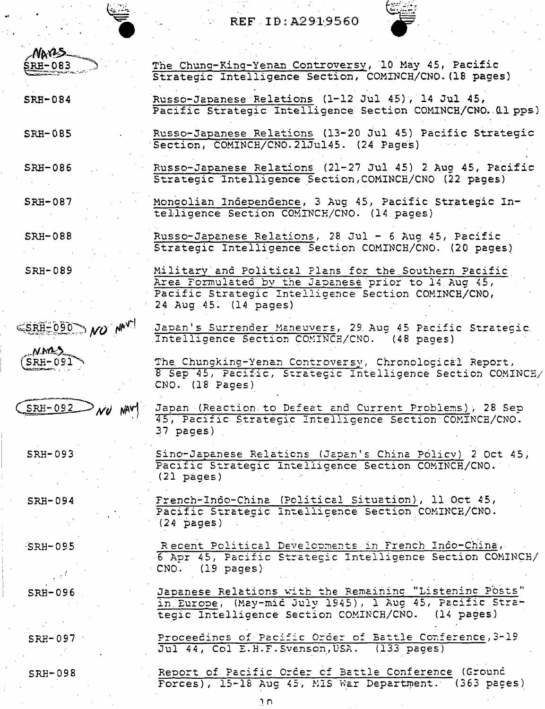Section, COMINCH/CNO. 21Jul 45. (24 Pages)

NAVS-**RH-083 SRH-084 SRH-085** SRH-086

**SRH-087** 

Mongolian Independence, 3 Aug 45, Pacific Strategic Intelligence Section COMINCH/CNO. (14 pages)

Strategic Intelligence Section, COMINCH/CNO (22 pages)

The Chung-King-Yenan Controversy, 10 May 45, Pacific

Russo-Japanese Relations (1-12 Jul 45), 14 Jul 45,

Strategic Intelligence Section, COMINCH/CNO. (18 pages)

Pacific Strategic Intelligence Section COMINCH/CNO. 01 pps)

Russo-Japanese Relations (13-20 Jul 45) Pacific Strategic

Russo-Japanese Relations (21-27 Jul 45) 2 Aug 45, Pacific

Japan's Surrender Maneuvers, 29 Aug 45 Pacific Strategic

8 Sep 45, Pacific, Strategic Intelligence Section COMINCE/

The Chungking-Yenan Controversy, Chronological Report,

Japan (Reaction to Defeat and Current Problems), 28 Sep

45, Pacific Strategic Intelligence Section COMINCE/CNO.

Sino-Japanese Relations (Japan's China Policy) 2 Oct 45,

Intelligence Section COMINCH/CNO. (48 pages)

Russo-Japanese Relations, 28 Jul - 6 Aug 45, Pacific **SRH-088** Strategic Intelligence Section COMINCH/CNO. (20 pages)

**SRH-089** Military and Political Plans for the Southern Pacific Area Formulated by the Japanese prior to 14 Aug 45, Pacific Strategic Intelligence Section COMINCH/CNO, 24 Aug 45. (14 pages)

CNO. (18 Pages)

 $37$  pages)

 $(21$  pages)

CNO. (19 pages)

ESRH-090 NO NAV

**MARS**  $SRH-091$ 



SRH-093

SRH-094

French-Indo-China (Political Situation), 11 Oct 45, Pacific Strategic Intelligence Section COMINCE/CNO.  $(24 \text{ pages})$ 

Recent Political Developments in French Indo-China,

6 Apr 45, Pacific Strategic Intelligence Section COMINCH/

Japanese Relations with the Remaining "Listening Posts"

in Europe, (May-mid July 1945), 1 Aug 45, Pacific Stra-

Pacific Strategic Intelligence Section COMINCH/CNO.

 $SRH-095$ 

**SRH-096** 

 $SRH-097$ 

Proceedings of Pacific Order of Battle Conference, 3-19 Jul 44, Col E.H.F. Svenson, USA. (133 pages)

tegic Intelligence Section COMINCH/CNO. (14 pages)

SRH-098

Report of Pacific Order of Battle Conference (Ground Forces), 15-18 Aug 45, MIS War Department. (363 pages)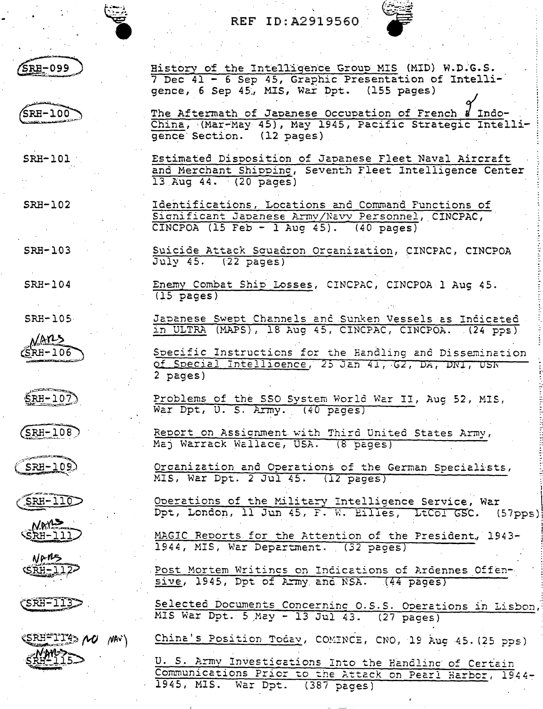



 $\sqrt{\texttt{SRH}} - 099$ 

SRH-100

 $SRH-101$ 

gence, 6 Sep 45, MIS, War Dpt. (155 pages) The Aftermath of Japanese Occupation of French & Indo-<br>China, (Mar-May 45), May 1945, Pacific Strategic Intelligence Section. (12 pages)

History of the Intelligence Group MIS (MID) W.D.G.S.

7 Dec 41 - 6 Sep 45, Graphic Presentation of Intelli-

Estimated Disposition of Japanese Fleet Naval Aircraft and Merchant Shipping, Seventh Fleet Intelligence Center 13 Aug 44. (20 pages)

SRH-103

SRH-102

 $SRH-104$ 

SRH-105

<u>NAns</u>  $S$ RH-106

 $\mathsf{S}\text{RH}-10\bar{7}$ 

 $(SRH-108)$ 

 $SRH-109$ 



NAYLS SRH-111

NARS SRH-112-

 $(SRF-113)$ 

(SRH=11743 MU NAV)

Identifications, Locations and Command Functions of Significant Japanese Army/Navy Personnel, CINCPAC, CINCPOA (15 Feb - 1 Aug 45).  $(40 \text{ pages})$ 

Suicide Attack Squadron Organization, CINCPAC, CINCPOA  $July 45.$   $(22 \text{ pages})$ 

Enemy Combat Ship Losses, CINCPAC, CINCPOA 1 Aug 45.  $(15 \text{ pages})$ 

Japanese Swept Channels and Sunken Vessels as Indicated in ULTRA (MAPS), 18 Aug 45, CINCPAC, CINCPOA. (24 PDS)

Specific Instructions for the Handling and Dissemination of Special Intelligence, 25 Jan 41, 62, DA, DN1, USN 2 pages)

Problems of the SSO System World War II, Aug 52, MIS, War Dpt, U. S. Army. (40 pages)

Report on Assignment with Third United States Army, Maj Warrack Wallace, USA. (8 pages)

Organization and Operations of the German Specialists, MIS, War Dpt. 2 Jul 45. (12 pages)

Operations of the Military Intelligence Service, War<br>Dpt, London, 11 Jun 45, F. W. Eilles, LtCol GSC. (57pps)

MAGIC Reports for the Attention of the President, 1943-1944, MIS, War Department. (32 paces)

Post Mortem Writings on Indications of Ardennes Offensive, 1945, Dpt of Army and NSA. (44 pages)

Selected Documents Concerning 0.S.S. Operations in Lisbon,<br>MIS War Dpt. 5 May - 13 Jul 43. (27 pages)

China's Position Today, COMINCE, CNO, 19 Aug 45. (25 pps)

U. S. Army Investigations Into the Handling of Certain Communications Prior to the Attack on Pearl Harbor, 1944-1945, MIS. War Dpt. (387 pages)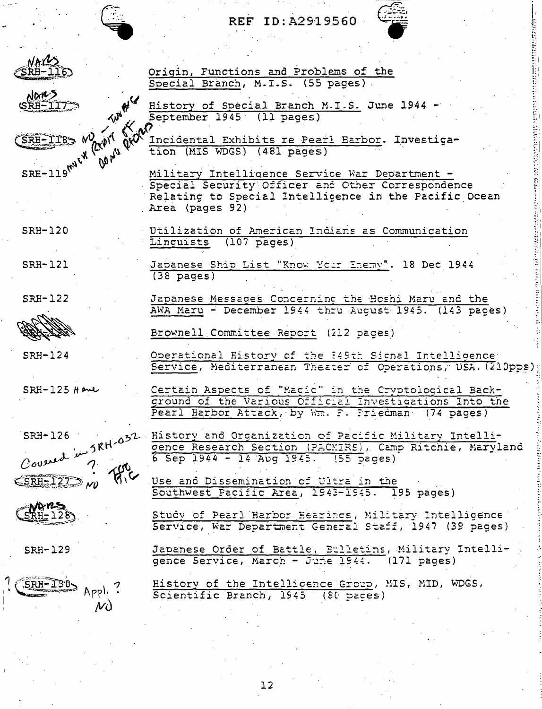Origin, Functions and Problems of the Special Branch, M.I.S. (55 pages)



Nans SRA-117-

 $SRH-TT8$ 

 $SRH-119^{mU}c^{W}$ 

History of Special Branch M.I.S. June 1944 くい September 1945 (11 pages) **De price Quay** 

Incidental Exhibits re Pearl Harbor. Investigation (MIS WDGS) (481 pages)

Military Intelligence Service War Department -Special Security Officer and Other Correspondence Relating to Special Intellicence in the Pacific Ocean Area (pages 92)

Utilization of American Indians as Communication Linquists  $(107 \text{ pages})$ 

Japanese Ship List "Know Your Enemy". 18 Dec 1944  $(38 \text{ pages})$ 

 $SRH-122$ 

 $SRF-120$ 

**SRH-121** 



 $SRF-124$ 

 $SRH-125$  Have



SRH-129

SRH-130  $\mathcal{N}$ 

Japanese Messages Concerning the Boshi Maru and the AWA Maru - December 1944 thru August 1945. (143 pages)

Brownell Committee Report (212 pages)

Operational History of the 849th Signal Intelligence Service, Mediterranean Theater of Operations, USA. (210pps)

Certain Aspects of "Magic" in the Cryptological Background of the Various Official Investigations Into the Pearl Harbor Attack, by Wm. F. Friedman (74 pages)

History and Organization of Pacific Military Intelligence Research Section (PACMIRS), Camp Ritchie, Maryland  $6$  Sep 1944 - 14 Aug 1945. (55 pages)

Use and Dissemination of Ultra in the Southwest Pacific Area, 1943-1945. 195 pages)

Study of Pearl Harbor Hearings, Military Intelligence Service, War Department General Staff, 1947 (39 pages)

Japanese Order of Battle, Bulletins, Military Intelligence Service, March - June 1944. (171 pages)

History of the Intelligence Group, MIS, MID, WDGS, Scientific Branch, 1945  $(80 \text{ years})$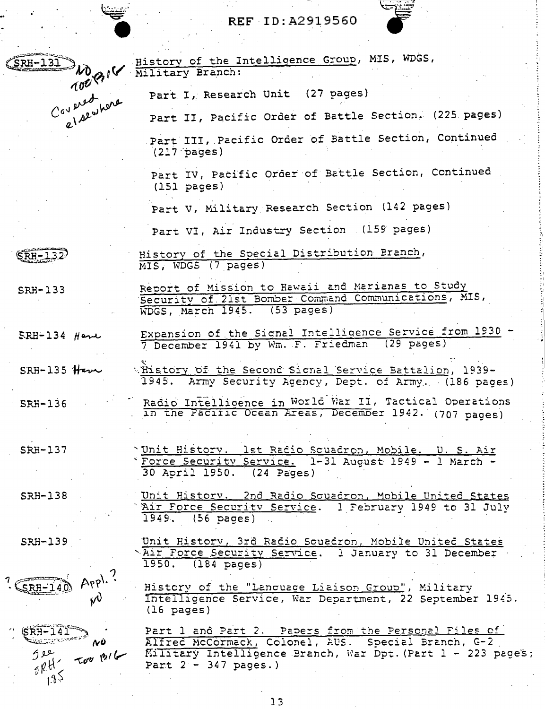

 $\overline{\text{SRH}-1.3.2}$ 

SRH-133

 $ERH-134$  Have

 $SRH-135$  Have

 $SRF-136$ 

SRH-137

SRH-138

**SRH-139** 

 $SRH-140$ 

 $^{\prime\prime}$   $\sqrt{\text{RH}-141}$ 

ىق 4  $5RH^2$ 

 $1.85$ 

Appl.

 $\mathcal{W}$ 

 $\mathbf{v}\mathbf{v}$ 

History of the Intelligence Group, MIS, WDGS, Military Branch: Part I, Research Unit (27 pages) Part II, Pacific Order of Battle Section. (225 pages) Part III, Pacific Order of Battle Section, Continued  $(217 \text{ pages})$ Part IV, Pacific Order of Battle Section, Continued  $(151$  pages) Part V, Military Research Section (142 pages) Part VI, Air Industry Section (159 pages) History of the Special Distribution Branch, MIS, WDGS (7 pages) Report of Mission to Hawaii and Marianas to Study Security of 21st Bomber Command Communications, MIS, WDGS, March 1945. (53 pages) Expansion of the Signal Intelligence Service from 1930 7 December 1941 by Wm. F. Friedman (29 pages) thistory of the Second Signal Service Battalion, 1939-1945. Army Security Agency, Dept. of Army. (186 pages) Radio Intelligence in World War II, Tactical Operations in the Pacific Ocean Areas, December 1942. (707 pages) 'Unit History. 1st Radio Squadron, Mobile. U. S. Air Force Security Service. 1-31 August 1949 - 1 March -30 April 1950. (24 Pages) Unit History. 2nd Radio Scuadron, Mobile United States Air Force Security Service. 1 February 1949 to 31 July  $1949.$  (56 pages) Unit History, 3rd Racio Squadron, Mobile United States NAIT Force Security Service. 1 January to 31 December 1950. (184 pages) History of the "Lancuage Liaison Group", Military Intelligence Service, War Department, 22 September 1945.  $(16 \text{ pages})$ Part 1 and Part 2. Papers from the Personal Files of Alfred McCormack, Colonel, AUS. Special Branch, G-2 Too pil Military Intelligence Branch, War Dpt. (Part 1 - 223 page's; Part  $2 - 347$  pages.)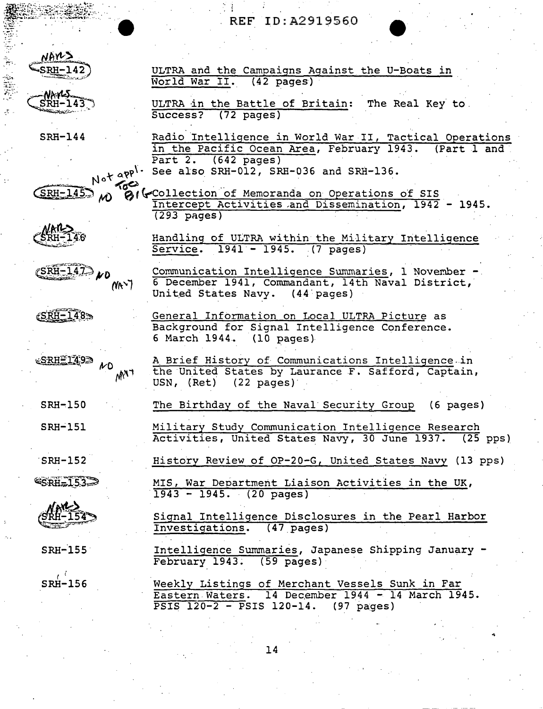# . REF lD: A2919560

ULTRA and the Campaigns Against the U-Boats in<br>World War II. (42 pages)

ULTRA in the Battle of Britain: The Real Key to.<br>Success? (72 pages)



 $S<sub>RH</sub> - 143$ 

 $\mathbb{R}$ 

SRH-144 Radio Intelligence in World War II, Tactical Operations<br>
in the Pacific Ocean Area, February 1943. (Part 1 and in the Pacific Ocean Area, February 1943. Part 2. (642 pages)  $Not$  app<sup>1</sup> See also SRH-012, SRH-036 and SRH-136.

 $(SRH-145)$  in  $81$  (Collection of Memoranda on Operations of SIS Intercept Activities .and Dissemination, 1942 - 1945. (293 pages)



Handling of ULTRA within the Military Intelligence Service. 1941 - 1945. (7 pages)

Communication Intelligence Summaries, 1 November -6 December 1941, Commandant, 14th Naval District, United States Navy. (44 pages)

General Information on Local ULTRA Picture as

 $e$ SRH-148 $\gg$ 

¿SRH≦149∋

(SRH-147) ND

 $N_f$ )

 $\mathcal{N}$ 

 $M^{\gamma}$ 

Background for Signal Intelligence Conference. 6 March 1944. (10 pages)

World War II.

 $(72 \text{ pages})$ 

A. Brief History of Communications Intelligence.in the United States by Laurance F. Safford, Captain, USN, (Ret) (22 pages)

The Birthday of the Naval Security Group (6 pages)

**SRH-151** 

SRH~l50

. SRH-152 **SRH=153** 

SRH-155

 $\epsilon$  : SRH-156 Military Study Communication Intelligence Research Activities, United States Navy, 30 June 1937. (25 pps)

History Review of OP-20-G, United States Navy (13 pps)

MIS, War Department Liaison Activities in the UK,  $\overline{1943 - 1945}$ . (20 pages)

Signal Intelligence Disclosures in the Pearl Harbor<br>Investigations. (47 pages) Investigations.

Intelligence Summaries, Japanese Shipping January - February 1943. (59 pages)

Weekly Listings of Merchant Vessels Sunk in Far<br>Eastern Waters. 14 December 1944 - 14 March 19 14 December 1944 - 14 March 1945.<br>S 120-14. (97 pages)  $\overline{PSIS}$  120-2 -  $\overline{PSIS}$  120-14.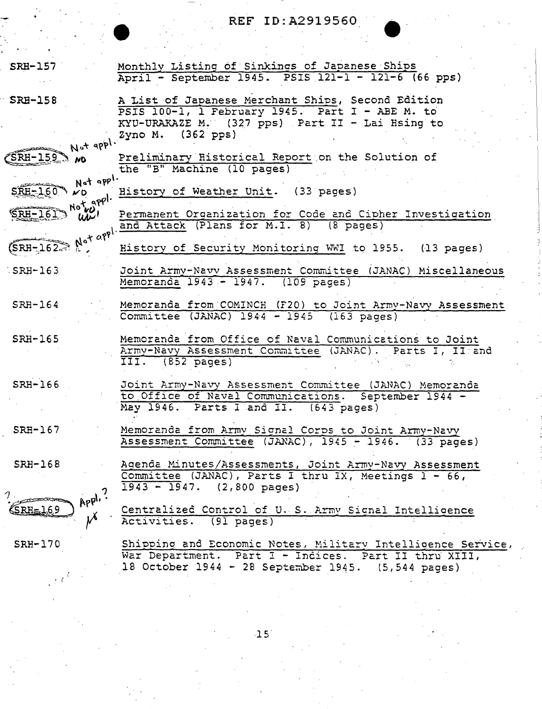| $SRB-157$                                 | Monthly Listing of Sinkings of Japanese Ships<br>April - September 1945. PSIS 121-1 - 121-6 (66 pps)                                                                      |
|-------------------------------------------|---------------------------------------------------------------------------------------------------------------------------------------------------------------------------|
| <b>SRH-158</b>                            | A List of Japanese Merchant Ships, Second Edition                                                                                                                         |
|                                           | PSIS 100-1, 1 February 1945. Part I - ABE M. to                                                                                                                           |
|                                           | KYU-URAKAZE M. (327 pps) Part II - Lai Hsing to<br>Not apply $2yno M.$ (362 pps)                                                                                          |
| <b>ND</b>                                 | Preliminary Historical Report on the Solution of<br>the "B" Machine (10 pages)                                                                                            |
| Not appl.<br>$SEH = 1.60$<br>$\mathbf{v}$ | History of Weather Unit. (33 pages)                                                                                                                                       |
| y Note appl.                              | Permanent Organization for Code and Cipher Investigation<br>(SRH-162 Mot apple and Attack (Plans for M.I. 8) (8 pages)                                                    |
|                                           | History of Security Monitoring WWI to 1955. (13 pages)                                                                                                                    |
| $SRH-163$                                 | Joint Army-Navv Assessment Committee (JANAC) Miscellaneous<br>Memoranda 1943 - 1947. (109 pages)                                                                          |
| $SRH-164$                                 | Memoranda from COMINCH (F20) to Joint Army-Navy Assessment<br>Committee (JANAC) 1944 - 1945 (163 pages)                                                                   |
| SRH-165                                   | Memoranda from Office of Naval Communications to Joint<br>Army-Navy Assessment Committee (JANAC). Parts I, II and<br>III. (852 pages)                                     |
| SRH-166                                   | Joint Army-Navy Assessment Committee (JANAC) Memoranda<br>to Office of Naval Communications. September 1944 -<br>May 1946. Parts I and II. (643 pages)                    |
| $SRH-167$                                 | Memoranda from Army Signal Corps to Joint Army-Navy<br>Assessment Committee (JANAC), 1945 - 1946. (33 pages)                                                              |
| $SRH-168$                                 | Agenda Minutes/Assessments, Joint Army-Navy Assessment<br>Committee (JANAC), Parts I thru IX, Meetings 1 - 66,<br>$1943 - 1947.$ (2,800 pages)                            |
| RH=169                                    | Centralized Control of U.S. Army Signal Intelligence<br>Activities. (91 pages)                                                                                            |
| $SRH-170$                                 | Shipping and Economic Notes, Military Intelligence Service,<br>War Department. Part I - Indices. Part II thru XIII,<br>18 October 1944 - 28 September 1945. (5,544 pages) |

 $-15$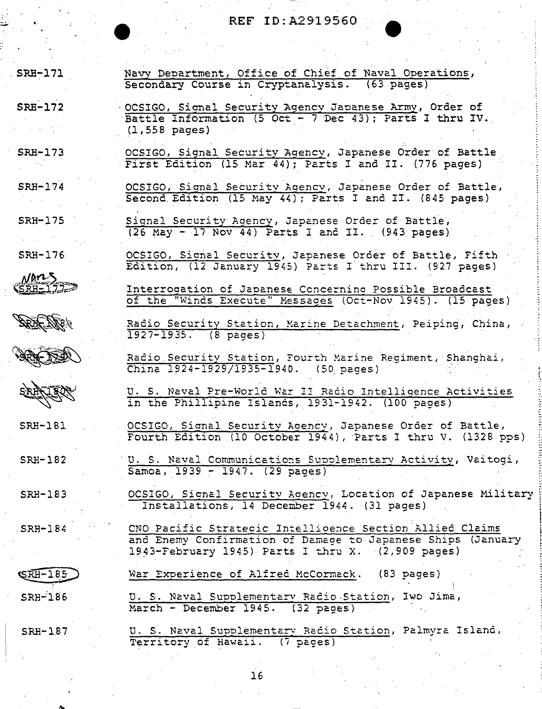SRH-171

 $SRR-172$ 

 $SRH-174$ 

SRH-175

SRH-176

Nones  $SRI = 1.77$  Navy Department, Office of Chief of Naval Operations, Secondary Course in Cryptanalysis. (63 pages)

OCSIGO, Signal Security Agency Japanese Army, Order of<br>Battle Information (5 Oct - 7 Dec 43); Parts I thru IV.  $(1,558 \text{ pages})$ 

OCSIGO, Signal Security Agency, Japanese Order of Battle  $SRH-173$ First Edition (15 Mar 44); Parts I and II. (776 pages)

> OCSIGO, Signal Security Agency, Japanese Order of Battle, Second Edition (15 May 44); Parts I and II. (845 pages)

Signal Security Agency, Japanese Order of Battle, (26 May - 17 Nov 44) Parts I and II. (943 pages)

OCSIGO, Signal Security, Japanese Order of Battle, Fifth Edition, (12 January 1945) Parts I thru III. (927 pages)

Interrogation of Japanese Concerning Possible Broadcast of the "Winds Execute" Messages (Oct-Nov 1945). (15 pages)

Radio Security Station, Marine Detachment, Peiping, China, 1927-1935. (8 pages)

Radio Security Station, Fourth Marine Regiment, Shanghai, China  $1924 - 1929/1935 - 1940$ . (50 pages)

U. S. Naval Pre-World War II Radio Intelligence Activities<br>in the Phillipine Islands, 1931-1942. (100 pages)

OCSIGO, Signal Security Agency, Japanese Order of Battle,<br>Fourth Edition (10 October 1944), Parts I thru V. (1328 pps)

U. S. Naval Communications Supplementary Activity, Vaitogi, Samoa, 1939 - 1947. (29 pages)

OCSIGO, Signal Security Agency, Location of Japanese Military Installations, 14 December 1944. (31 pages)

CNO Pacific Strategic Intelligence Section Allied Claims and Enemy Confirmation of Damage to Japanese Ships (January 1943-February 1945) Parts I thru X. (2,909 pages)

War Experience of Alfred McCormack. (83 pages)

U. S. Naval Supplementary Radio Station, Iwo Jima, March - December 1945. (32 pages)

U. S. Naval Supplementary Radio Station, Palmyra Island, Territory of Hawaii. (7 pages)

 $16$ 

SRH-187

 $61877.$ 





SRH-181

SRH-182

SRH-183

 $SRH-184$ 

**SRH-185** 

 $SRH-186$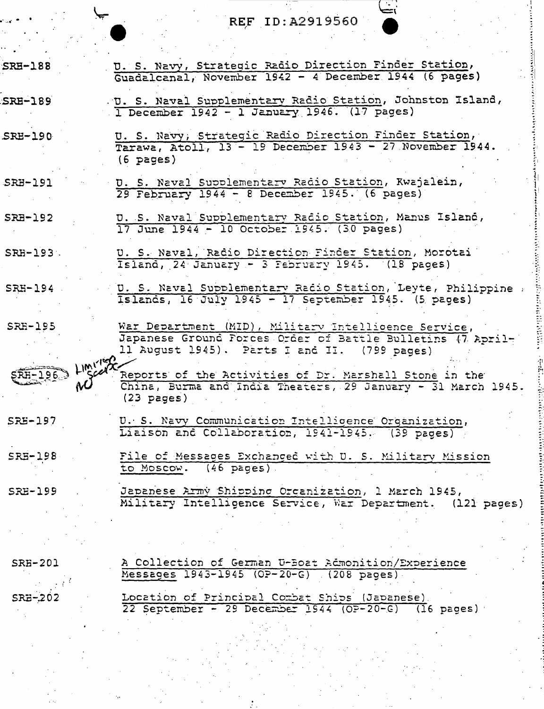D. S. Navy, Strategic Radio Direction Finder Station,<br>Guadalcanal, November 1942 - 4 December 1944 (6 pages)

**SRH-188** 

**SRH-189** 

 $SRE-190$ 

 $SRB-191$ 

 $SRB-192$ 

 $SRH-193$ .

SRH-194

**SRH-195** 

SRH-196.

SRE-197

 $SRB-198$ 

**SRE-199** 

U. S. Navy, Strategic Radio Direction Finder Station, Tarawa, Atoll, 13 - 19 December 1943 - 27 November 1944.  $(6 \text{ pages})$ 

. U. S. Naval Supplementary Radio Station, Johnston Island,

U. S. Naval Supplementary Radio Station, Kwajalein,  $29$  February  $1944 - 8$  December 1945. (6 pages)

1 December 1942 - 1 January 1946. (17 pages)

D. S. Naval Supplementary Radio Station, Manus Island,<br>17 June 1944 - 10 October 1945. (30 pages)

U. S. Naval, Radio Direction Finder Station, Morotai Island, 24 January - 3 February 1945. (18 pages)

U. S. Naval Supplementary Radio Station, Leyte, Philippine .<br>Islands, 16 July 1945 - 17 September 1945. (5 pages)

War Department (MID), Military Intelligence Service, Japanese Ground Porces Order of Battle Bulletins (7 April-11 August 1945). Parts I and II. (799 pages)

Reports of the Activities of Dr. Marshall Stone in the China, Burma and India Theaters, 29 January - 31 March 1945.  $(23$  pages)

U. S. Navy Communication Intelligence Organization, Liaison and Collaboration, 1941-1945. (39 pages)

File of Messages Exchanged with U. S. Military Mission to Moscow. (46 pages).

Japanese Army Shipping Organization, 1 March 1945, Military Intelligence Service, War Department. (121 pages)

**SRH-201** 

SRE-202

A Collection of German U-Boat Admonition/Experience Messages 1943-1945 (OP-20-G) (208 pages) Location of Principal Combat Ships (Japanese)

22 September - 29 December 1944 (OP-20-G) (16 pages)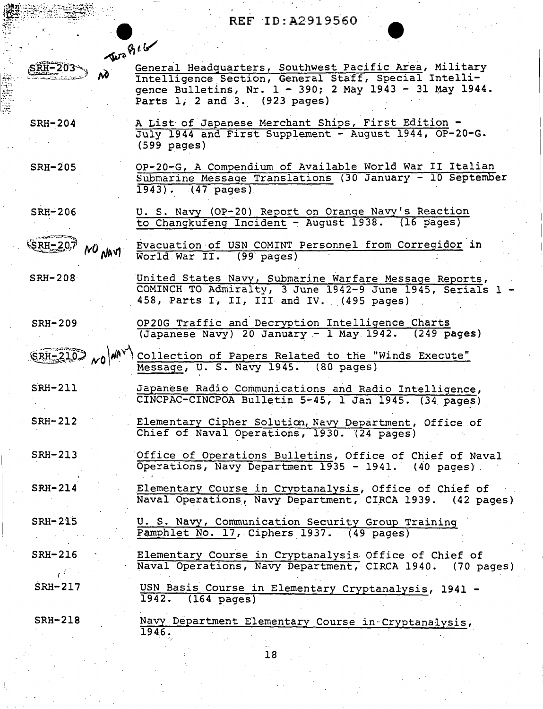$\mathbf{f}^{\text{max}}$  .  $\mathbf{f}^{\text{max}}$ on 8<sup>1</sup>/ 4'<br>General Headquarters, Southwest Pacific Area, Military

Intelligence.Section, General Staff, Special Intelligence Bulletins, Nr. 1 - 390; 2 May 1943 - 31 May 1944. Parts 1, 2 and 3. (923 pages)

SRH-204

 $S\overline{R}H - 203$ 

SRH-205

والانتقال والمحامدات

 $\mathbb{Z}_+$  .

A List of Japanese Merchant Ships, First Edition -<br>July 1944 and First Supplement - August 1944, OP-20-G. (599 pages)

OP-20-G, A Compendium of Available World War II Italian 8ubmarine Message Translations (30 January - 10 September 1943) •. (47 pages)

SRH-206 U. S. Navy (OP-20) Report on Orange Navy's Reaction to Changkufeng Incident~ August 1938. (16 pages)

Evacuation of USN COMINT Personnel from Corregidor in  $SRH - 207$ NO NAVI World War II.

SRH-208 United States Navy, Submarine Warfare Message Reports, COMINCH TO Admiralty, 3 June 1942-9 June 1945, Serials 1 - 458, Parts I, II, III and IV. (495 pages)

SRH-209 OP20G Traffic and Decryption Intelligence Charts (Japanese Na\i'y) 20 January - 1 May 1942. (249 pages)

 $~\frac{1}{\text{SRH}-210}$   $_{\text{NO}}$   $\left|\right.^{M\text{AV}}$  Collection of Papers Related to the "Winds Execute" . Message, U. S. Navy 1945. (80 pages)

 $SRH-211$ Japanese Radio Communications and Radio Intelligence, CINCPAC-CINCPOA Bulletin 5~45, l Jan 1945. (34 pages)

SRH-212 Elementary Cipher Soluticn, Navy Department, Office of Chief of Naval Operations, 1930. (24 pages)

SRH-213 Office of Operations Bulletins, Office of Chief of Naval Operations, Navy Department 1935 - 1941. (40 pages).

SRH-214 Elementary Course in Cryptanalysis, Office of Chief of Naval Operations, Navy Department, CIRCA 1939. (42 pages)

SRH-215 U. S. Navy, Communication Security Group Training Pamphlet No. 17, Ciphers 1937. (49 pages)

SRH-216  $e^{C}$ SRH-217 Elementary Course in Cryptanalysis Office of Chief of<br>Naval Operations, Navy Department, CIRCA 1940. (70 pages) Naval Operations, Navy Department, CIRCA 1940. USN Basis Course in Elementary Cryptanalysis, 1941 - 1942. (164 pages)

SRH-218

Navy Department Elementary Course in-Cryptanalysis,.  $1946.$